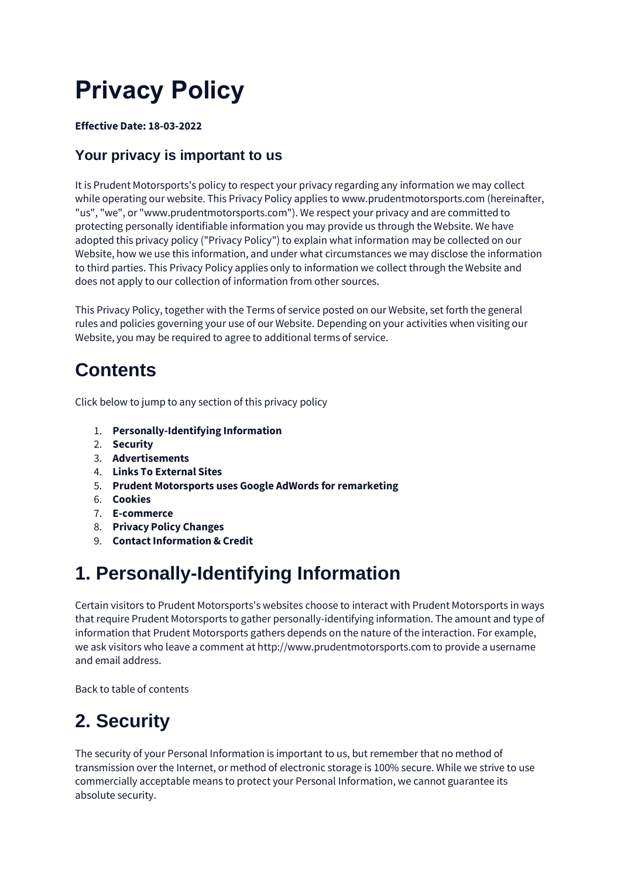# **Privacy Policy**

#### **Effective Date: 18-03-2022**

#### **Your privacy is important to us**

It is Prudent Motorsports's policy to respect your privacy regarding any information we may collect while operating our website. This Privacy Policy applies to [www.prudentmotorsports.com](http://www.prudentmotorsports.com/) (hereinafter, "us", "we", or "www.prudentmotorsports.com"). We respect your privacy and are committed to protecting personally identifiable information you may provide us through the Website. We have adopted this privacy policy ("Privacy Policy") to explain what information may be collected on our Website, how we use this information, and under what circumstances we may disclose the information to third parties. This Privacy Policy applies only to information we collect through the Website and does not apply to our collection of information from other sources.

This Privacy Policy, together with the Terms of service posted on our Website, set forth the general rules and policies governing your use of our Website. Depending on your activities when visiting our Website, you may be required to agree to additional terms of service.

### **Contents**

Click below to jump to any section of this privacy policy

- 1. **[Personally-Identifying Information](https://privacyterms.io/app/?preview=p6bCG5AC-14Qlj3Ph-sOh3Za#PII)**
- 2. **[Security](https://privacyterms.io/app/?preview=p6bCG5AC-14Qlj3Ph-sOh3Za#Security)**
- 3. **[Advertisements](https://privacyterms.io/app/?preview=p6bCG5AC-14Qlj3Ph-sOh3Za#Ads)**
- 4. **[Links To External Sites](https://privacyterms.io/app/?preview=p6bCG5AC-14Qlj3Ph-sOh3Za#ExternalLinks)**
- 5. **[Prudent Motorsports uses Google AdWords for remarketing](https://privacyterms.io/app/?preview=p6bCG5AC-14Qlj3Ph-sOh3Za#Remarketing)**
- 6. **[Cookies](https://privacyterms.io/app/?preview=p6bCG5AC-14Qlj3Ph-sOh3Za#Cookies)**
- 7. **[E-commerce](https://privacyterms.io/app/?preview=p6bCG5AC-14Qlj3Ph-sOh3Za#Ecommerce)**
- 8. **[Privacy Policy Changes](https://privacyterms.io/app/?preview=p6bCG5AC-14Qlj3Ph-sOh3Za#Changes)**
- 9. **[Contact Information & Credit](https://privacyterms.io/app/?preview=p6bCG5AC-14Qlj3Ph-sOh3Za#Credit)**

## **1. Personally-Identifying Information**

Certain visitors to Prudent Motorsports's websites choose to interact with Prudent Motorsports in ways that require Prudent Motorsports to gather personally-identifying information. The amount and type of information that Prudent Motorsports gathers depends on the nature of the interaction. For example, we ask visitors who leave a comment at http://www.prudentmotorsports.com to provide a username and email address.

[Back to table of contents](https://privacyterms.io/app/?preview=p6bCG5AC-14Qlj3Ph-sOh3Za#tableofcontents)

#### **2. Security**

The security of your Personal Information is important to us, but remember that no method of transmission over the Internet, or method of electronic storage is 100% secure. While we strive to use commercially acceptable means to protect your Personal Information, we cannot guarantee its absolute security.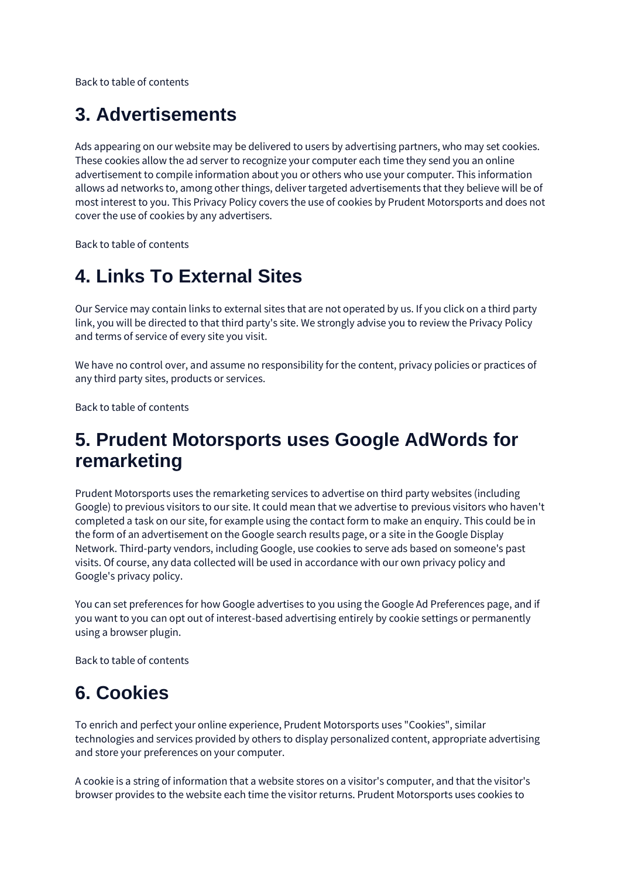[Back to table of contents](https://privacyterms.io/app/?preview=p6bCG5AC-14Qlj3Ph-sOh3Za#tableofcontents)

#### **3. Advertisements**

Ads appearing on our website may be delivered to users by advertising partners, who may set cookies. These cookies allow the ad server to recognize your computer each time they send you an online advertisement to compile information about you or others who use your computer. This information allows ad networks to, among other things, deliver targeted advertisements that they believe will be of most interest to you. This Privacy Policy covers the use of cookies by Prudent Motorsports and does not cover the use of cookies by any advertisers.

[Back to table of contents](https://privacyterms.io/app/?preview=p6bCG5AC-14Qlj3Ph-sOh3Za#tableofcontents)

#### **4. Links To External Sites**

Our Service may contain links to external sites that are not operated by us. If you click on a third party link, you will be directed to that third party's site. We strongly advise you to review the Privacy Policy and terms of service of every site you visit.

We have no control over, and assume no responsibility for the content, privacy policies or practices of any third party sites, products or services.

Back [to table of contents](https://privacyterms.io/app/?preview=p6bCG5AC-14Qlj3Ph-sOh3Za#tableofcontents)

#### **5. Prudent Motorsports uses Google AdWords for remarketing**

Prudent Motorsports uses the remarketing services to advertise on third party websites (including Google) to previous visitors to our site. It could mean that we advertise to previous visitors who haven't completed a task on our site, for example using the contact form to make an enquiry. This could be in the form of an advertisement on the Google search results page, or a site in the Google Display Network. Third-party vendors, including Google, use cookies to serve ads based on someone's past visits. Of course, any data collected will be used in accordance with our own privacy policy and Google's privacy policy.

You can set preferences for how Google advertises to you using the Google Ad Preferences page, and if you want to you can opt out of interest-based advertising entirely by cookie settings or permanently using a browser plugin.

[Back to table of contents](https://privacyterms.io/app/?preview=p6bCG5AC-14Qlj3Ph-sOh3Za#tableofcontents)

#### **6. Cookies**

To enrich and perfect your online experience, Prudent Motorsports uses "Cookies", similar technologies and services provided by others to display personalized content, appropriate advertising and store your preferences on your computer.

A cookie is a string of information that a website stores on a visitor's computer, and that the visitor's browser provides to the website each time the visitor returns. Prudent Motorsports uses cookies to